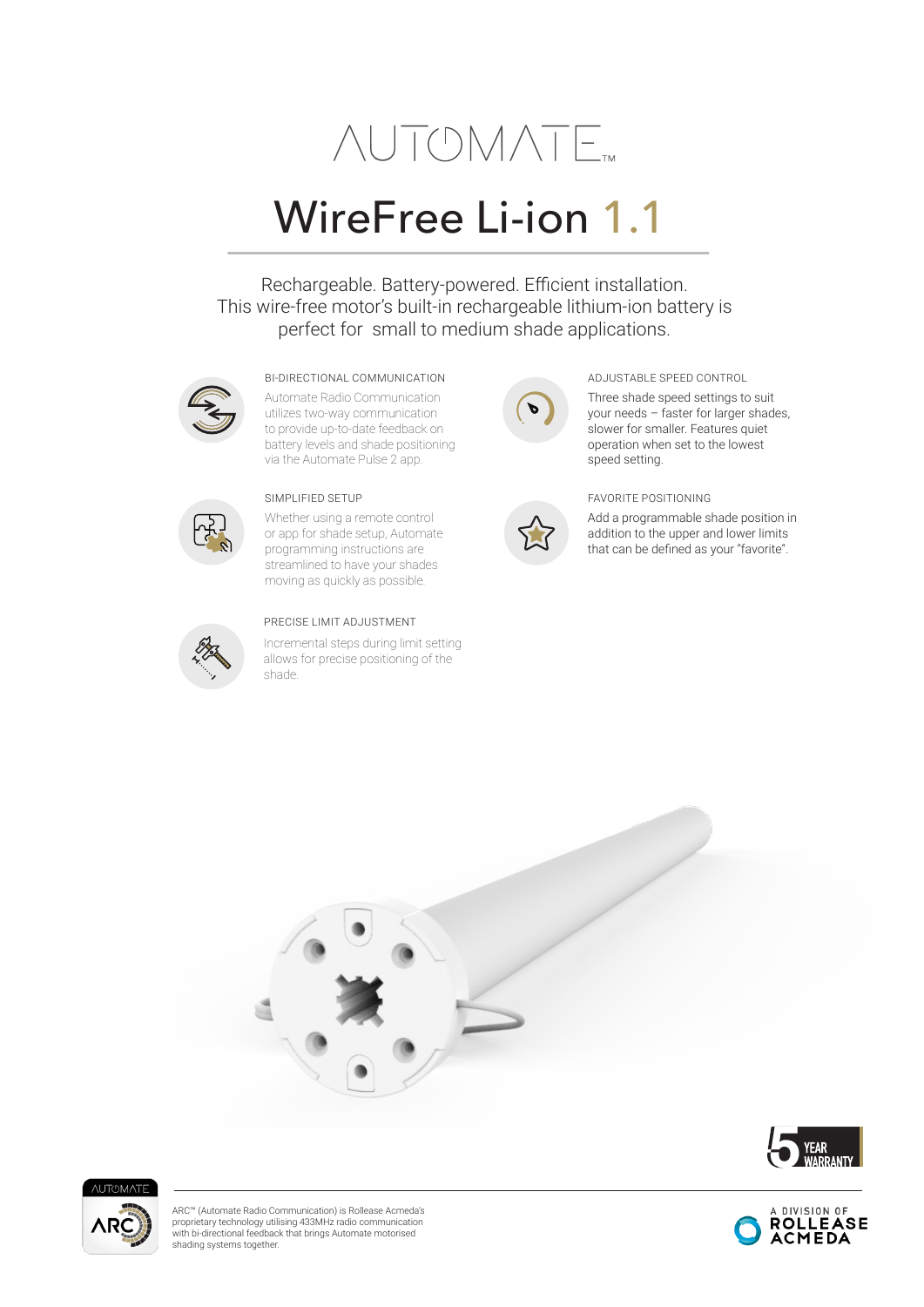# **NUTOMATE**

## WireFree Li-ion 1.1

Rechargeable. Battery-powered. Efficient installation. This wire-free motor's built-in rechargeable lithium-ion battery is perfect for small to medium shade applications.



#### BI-DIRECTIONAL COMMUNICATION ADJUSTABLE SPEED CONTROL

Automate Radio Communication utilizes two-way communication to provide up-to-date feedback on battery levels and shade positioning via the Automate Pulse 2 app.



Whether using a remote control or app for shade setup, Automate programming instructions are streamlined to have your shades moving as quickly as possible.



#### PRECISE LIMIT ADJUSTMENT

Incremental steps during limit setting allows for precise positioning of the shade.



Three shade speed settings to suit your needs – faster for larger shades, slower for smaller. Features quiet operation when set to the lowest speed setting.



Add a programmable shade position in addition to the upper and lower limits that can be defined as your "favorite".







ARC™ (Automate Radio Communication) is Rollease Acmeda's proprietary technology utilising 433MHz radio communication with bi-directional feedback that brings Automate motorised shading systems together.